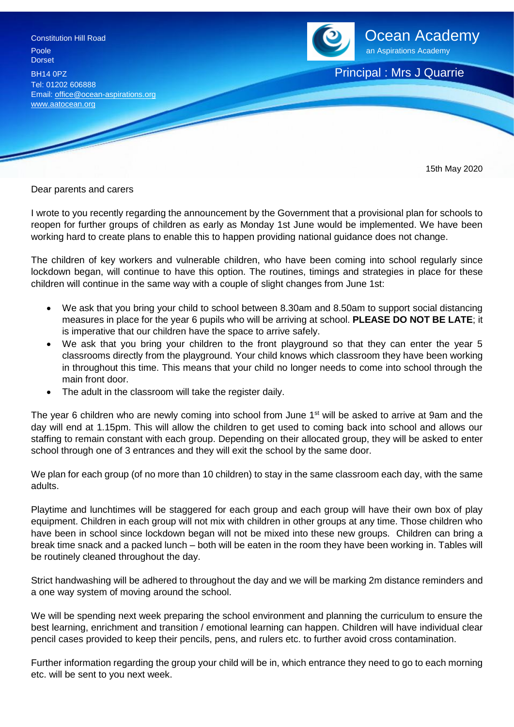Dorset BH14 0PZ **Principal : Mrs J Quarrie** Tel: 01202 606888 Email[: office@ocean-aspirations.org](mailto:office@ocean-aspirations.org) [www.aatocean.org](http://www.aatocean.org/)



15th May 2020

Dear parents and carers

I wrote to you recently regarding the announcement by the Government that a provisional plan for schools to reopen for further groups of children as early as Monday 1st June would be implemented. We have been working hard to create plans to enable this to happen providing national guidance does not change.

The children of key workers and vulnerable children, who have been coming into school regularly since lockdown began, will continue to have this option. The routines, timings and strategies in place for these children will continue in the same way with a couple of slight changes from June 1st:

- We ask that you bring your child to school between 8.30am and 8.50am to support social distancing measures in place for the year 6 pupils who will be arriving at school. **PLEASE DO NOT BE LATE**; it is imperative that our children have the space to arrive safely.
- We ask that you bring your children to the front playground so that they can enter the year 5 classrooms directly from the playground. Your child knows which classroom they have been working in throughout this time. This means that your child no longer needs to come into school through the main front door.
- The adult in the classroom will take the register daily.

The year 6 children who are newly coming into school from June 1<sup>st</sup> will be asked to arrive at 9am and the day will end at 1.15pm. This will allow the children to get used to coming back into school and allows our staffing to remain constant with each group. Depending on their allocated group, they will be asked to enter school through one of 3 entrances and they will exit the school by the same door.

We plan for each group (of no more than 10 children) to stay in the same classroom each day, with the same adults.

Playtime and lunchtimes will be staggered for each group and each group will have their own box of play equipment. Children in each group will not mix with children in other groups at any time. Those children who have been in school since lockdown began will not be mixed into these new groups. Children can bring a break time snack and a packed lunch – both will be eaten in the room they have been working in. Tables will be routinely cleaned throughout the day.

Strict handwashing will be adhered to throughout the day and we will be marking 2m distance reminders and a one way system of moving around the school.

We will be spending next week preparing the school environment and planning the curriculum to ensure the best learning, enrichment and transition / emotional learning can happen. Children will have individual clear pencil cases provided to keep their pencils, pens, and rulers etc. to further avoid cross contamination.

Further information regarding the group your child will be in, which entrance they need to go to each morning etc. will be sent to you next week.